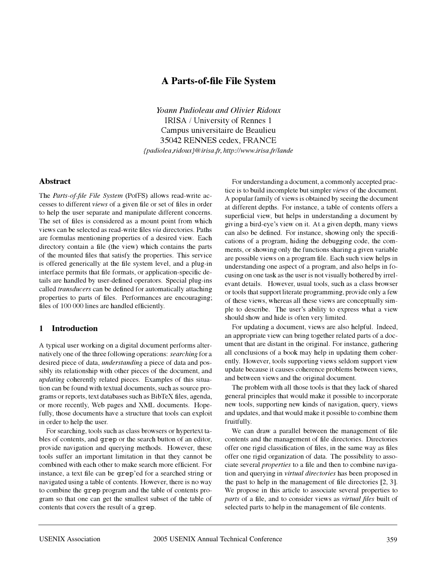# **A Parts-of-file File System**

*Yoann Padioleau and Olivier Ridoux* IRISA / University of Rennes 1 Campus universitaire de Beaulieu 35042 RENNES cedex, FRANCE *{padiolea,ridoux}@irisa.fr, http://www.irisa.fr/lande*

### **Abstract**

The *Parts-of-file File System* (PofFS) allows read-write accesses to different *views* of a given file or set of files in order to help the user separate and manipulate different concerns. The set of files is considered as a mount point from which views can be selected as read-write files *via* directories. Paths are formulas mentioning properties of a desired view. Each directory contain a file (the view) which contains the parts of the mounted files that satisfy the properties. This service is offered generically at the file system level, and a plug-in interface permits that file formats, or application-specific details are handled by user-defined operators. Special plug-ins called *transducers* can be defined for automatically attaching properties to parts of files. Performances are encouraging; files of 100 000 lines are handled efficiently.

## **1 Introduction**

A typical user working on a digital document performs alternatively one of the three following operations: *searching* for a desired piece of data, *understanding* a piece of data and possibly its relationship with other pieces of the document, and *updating* coherently related pieces. Examples of this situation can be found with textual documents, such as source programs or reports, text databases such as BibTeX files, agenda, or more recently, Web pages and XML documents. Hopefully, those documents have a structure that tools can exploit in order to help the user.

For searching, tools such as class browsers or hypertext tables of contents, and grep or the search button of an editor, provide navigation and querying methods. However, these tools suffer an important limitation in that they cannot be combined with each other to make search more efficient. For instance, a text file can be grep'ed for a searched string or navigated using a table of contents. However, there is no way to combine the grep program and the table of contents program so that one can get the smallest subset of the table of contents that covers the result of a grep.

For understanding a document, a commonly accepted practice is to build incomplete but simpler *views* of the document. A popular family of views is obtained by seeing the document at different depths. For instance, a table of contents offers a superficial view, but helps in understanding a document by giving a bird-eye's view on it. At a given depth, many views can also be defined. For instance, showing only the specifications of a program, hiding the debugging code, the comments, or showing only the functions sharing a given variable are possible views on a program file. Each such view helps in understanding one aspect of a program, and also helps in focusing on one task as the user is not visually bothered by irrelevant details. However, usual tools, such as a class browser or tools that support literate programming, provide only a few of these views, whereas all these views are conceptually simple to describe. The user's ability to express what a view should show and hide is often very limited.

For updating a document, views are also helpful. Indeed, an appropriate view can bring together related parts of a document that are distant in the original. For instance, gathering all conclusions of a book may help in updating them coherently. However, tools supporting views seldom support view update because it causes coherence problems between views, and between views and the original document.

The problem with all those tools is that they lack of shared general principles that would make it possible to incorporate new tools, supporting new kinds of navigation, query, views and updates, and that would make it possible to combine them fruitfully.

We can draw a parallel between the management of file contents and the management of file directories. Directories offer one rigid classification of files, in the same way as files offer one rigid organization of data. The possibility to associate several *properties* to a file and then to combine navigation and querying in *virtual directories* has been proposed in the past to help in the management of file directories [2, 3]. We propose in this article to associate several properties to *parts* of a file, and to consider views as *virtual files* built of selected parts to help in the management of file contents.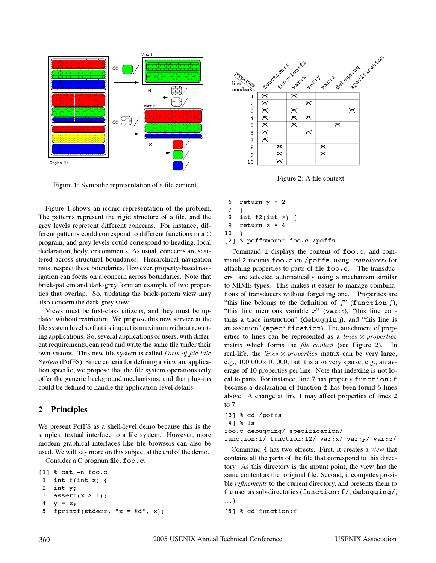

Figure 1: Symbolic representation of a file content

Figure 1 shows an iconic representation of the problem. The patterns represent the rigid structure of a file, and the grey levels represent different concerns. For instance, different patterns could correspond to different functions in a C program, and grey levels could correspond to heading, local declaration, body, or comments. As usual, concerns are scattered across structural boundaries. Hierarchical navigation must respect these boundaries. However, property-based navigation can focus on a concern across boundaries. Note that brick-pattern and dark-grey form an example of two properties that overlap. So, updating the brick-pattern view may also concern the dark-grey view.

Views must be first-class citizens, and they must be updated without restriction. We propose this new service at the file system level so that its impact is maximum without rewriting applications. So, several applications or users, with different requirements, can read and write the same file under their own visions. This new file system is called *Parts-of-file File System* (PofFS). Since criteria for defining a view are application specific, we propose that the file system operations only offer the generic background mechanisms, and that plug-ins could be defined to handle the application-level details.

### **2 Principles**

We present PofFS as a shell-level demo because this is the simplest textual interface to a file system. However, more modern graphical interfaces like file browsers can also be used. We will say more on this subject at the end of the demo.

Consider a C program file, foo.c.

```
[1] % cat -n foo.c
1 int f(int x) {
2 int y;
3 assert(x > 1);
4 y = x;fprintf(stderr, "x = %d", x);
```


Figure 2: A file context

```
6 return y * 2
 7 }
 8 int f2(int z) {
 9 return z * 4
10 }
[2] % poffsmount foo.c /poffs
```
Command 1 displays the content of foo.c, and command 2 mounts foo.c on /poffs, using *transducers* for attaching properties to parts of file foo.c. The transducers are selected automatically using a mechanism similar to MIME types. This makes it easier to manage combinations of transducers without forgetting one. Properties are "this line belongs to the definition of  $f$ " (function:  $f$ ), "this line mentions variable  $x$ " (var: $x$ ), "this line contains a trace instruction" (debugging), and "this line is an assertion" (specification). The attachment of properties to lines can be represented as a *lines*  $\times$  *properties* matrix which forms the *file context* (see Figure 2). In real-life, the *lines*  $\times$  *properties* matrix can be very large, e.g.,  $100\ 000\times10\ 000$ , but it is also very sparse, e.g., an average of 10 properties per line. Note that indexing is not local to parts. For instance, line 7 has property function:f because a declaration of function f has been found 6 lines above. A change at line 1 may affect properties of lines 2 to 7.

```
[3] % cd /poffs
[4] % ls
foo.c debugging/ specification/
function:f/ function:f2/ var:x/ var:y/ var:z/
```
Command 4 has two effects. First, it creates a *view* that contains all the parts of the file that correspond to this directory. As this directory is the mount point, the view has the same content as the original file. Second, it computes possible *refinements* to the current directory, and presents them to the user as sub-directories (function:f/, debugging/, . . . ).

```
[5] % cd function:f
```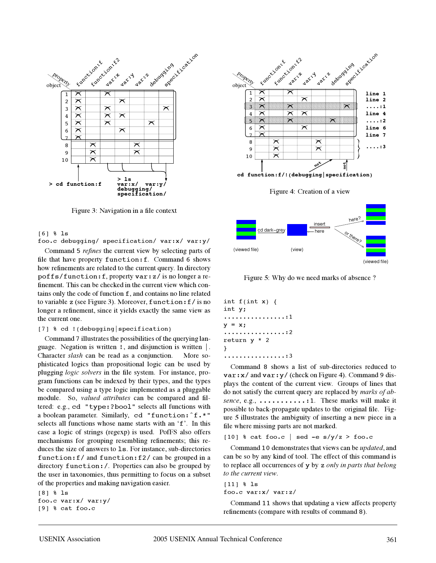

Figure 3: Navigation in a file context

#### [6] % ls

foo.c debugging/ specification/ var:x/ var:y/

Command 5 *refines* the current view by selecting parts of file that have property function:f. Command 6 shows how refinements are related to the current query. In directory poffs/function:f, property var:z/ is no longer a refinement. This can be checked in the current view which contains only the code of function f, and contains no line related to variable z (see Figure 3). Moreover, function:f/ is no longer a refinement, since it yields exactly the same view as the current one.

#### [7] % cd !(debugging|specification)

Command 7 illustrates the possibilities of the querying language. Negation is written !, and disjunction is written |. Character *slash* can be read as a conjunction. More sophisticated logics than propositional logic can be used by plugging *logic solvers* in the file system. For instance, program functions can be indexed by their types, and the types be compared using a type logic implemented as a pluggable module. So, *valued attributes* can be compared and filtered: e.g., cd "type:?bool" selects all functions with a boolean parameter. Similarly, cd "function:ˆf.\*" selects all functions whose name starts with an 'f'. In this case a logic of strings (regexp) is used. PofFS also offers mechanisms for grouping resembling refinements; this reduces the size of answers to ls. For instance, sub-directories function:f/ and function:f2/ can be grouped in a directory function:/. Properties can also be grouped by the user in taxonomies, thus permitting to focus on a subset of the properties and making navigation easier.

[8] % ls foo.c var:x/ var:y/ [9] % cat foo.c



Figure 4: Creation of a view



Figure 5: Why do we need marks of absence ?

```
int f(int x) {
int y;
   ................:1
y = x;................:2
return y * 2
}
................:3
```
Command 8 shows a list of sub-directories reduced to  $\texttt{var:x/}$  and  $\texttt{var:y/}$  (check on Figure 4). Command 9 displays the content of the current view. Groups of lines that do not satisfy the current query are replaced by *marks of absence*, e.g., ..............1. These marks will make it possible to back-propagate updates to the original file. Figure 5 illustrates the ambiguity of inserting a new piece in a file where missing parts are not marked.

[10]  $% cat \text{foo.c}$  | sed -e s/y/z > foo.c

Command 10 demonstrates that views can be *updated*, and can be so by any kind of tool. The effect of this command is to replace all occurrences of y by z *only in parts that belong to the current view*.

#### [11] % ls

foo.c var:x/ var:z/

Command 11 shows that updating a view affects property refinements (compare with results of command 8).